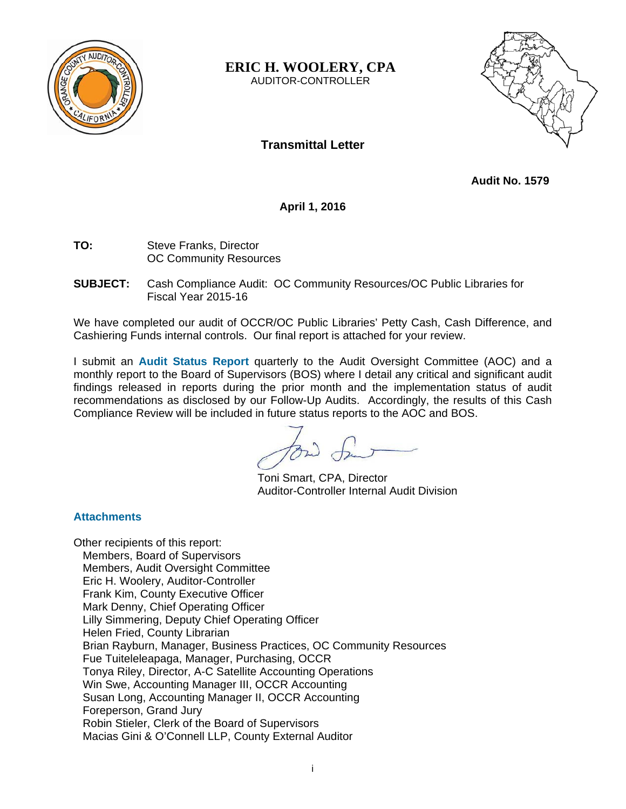

**ERIC H. WOOLERY, CPA** 

AUDITOR-CONTROLLER



# **Transmittal Letter**

**Audit No. 1579** 

**April 1, 2016** 

- **TO:** Steve Franks, Director OC Community Resources
- **SUBJECT:** Cash Compliance Audit: OC Community Resources/OC Public Libraries for Fiscal Year 2015-16

We have completed our audit of OCCR/OC Public Libraries' Petty Cash, Cash Difference, and Cashiering Funds internal controls. Our final report is attached for your review.

I submit an **Audit Status Report** quarterly to the Audit Oversight Committee (AOC) and a monthly report to the Board of Supervisors (BOS) where I detail any critical and significant audit findings released in reports during the prior month and the implementation status of audit recommendations as disclosed by our Follow-Up Audits. Accordingly, the results of this Cash Compliance Review will be included in future status reports to the AOC and BOS.

Toni Smart, CPA, Director Auditor-Controller Internal Audit Division

#### **Attachments**

Other recipients of this report: Members, Board of Supervisors Members, Audit Oversight Committee Eric H. Woolery, Auditor-Controller Frank Kim, County Executive Officer Mark Denny, Chief Operating Officer Lilly Simmering, Deputy Chief Operating Officer Helen Fried, County Librarian Brian Rayburn, Manager, Business Practices, OC Community Resources Fue Tuiteleleapaga, Manager, Purchasing, OCCR Tonya Riley, Director, A-C Satellite Accounting Operations Win Swe, Accounting Manager III, OCCR Accounting Susan Long, Accounting Manager II, OCCR Accounting Foreperson, Grand Jury Robin Stieler, Clerk of the Board of Supervisors Macias Gini & O'Connell LLP, County External Auditor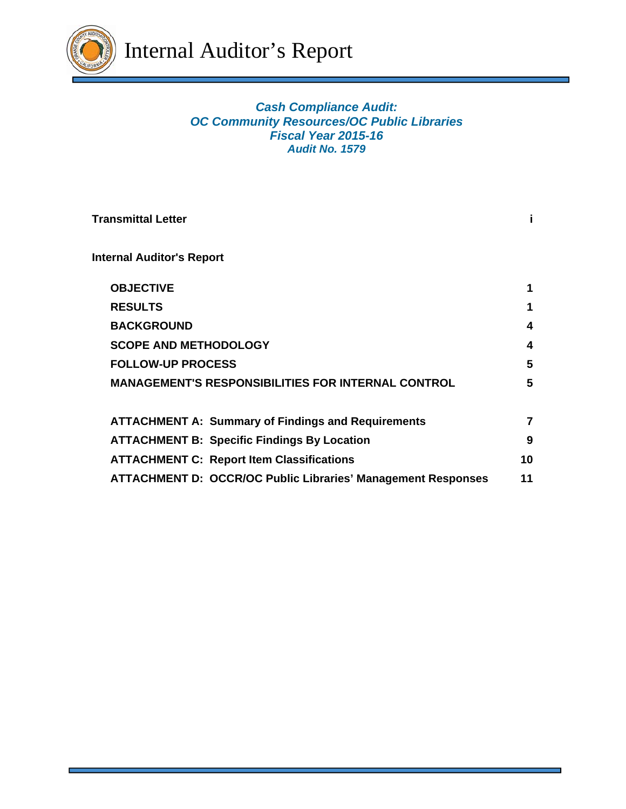

## *Cash Compliance Audit: OC Community Resources/OC Public Libraries Fiscal Year 2015-16 Audit No. 1579*

| <b>Transmittal Letter</b>                                           |    |
|---------------------------------------------------------------------|----|
| <b>Internal Auditor's Report</b>                                    |    |
| <b>OBJECTIVE</b>                                                    |    |
| <b>RESULTS</b>                                                      |    |
| <b>BACKGROUND</b>                                                   | 4  |
| <b>SCOPE AND METHODOLOGY</b>                                        | 4  |
| <b>FOLLOW-UP PROCESS</b>                                            | 5  |
| <b>MANAGEMENT'S RESPONSIBILITIES FOR INTERNAL CONTROL</b>           | 5  |
| <b>ATTACHMENT A: Summary of Findings and Requirements</b>           |    |
| <b>ATTACHMENT B: Specific Findings By Location</b>                  | 9  |
| <b>ATTACHMENT C: Report Item Classifications</b>                    | 10 |
| <b>ATTACHMENT D: OCCR/OC Public Libraries' Management Responses</b> | 11 |
|                                                                     |    |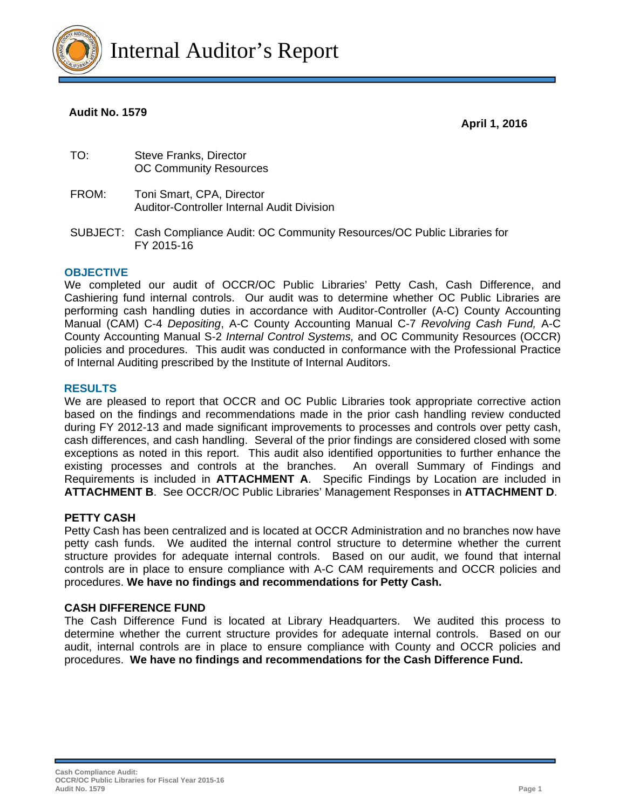

#### **Audit No. 1579**

 **April 1, 2016** 

| TO: | Steve Franks, Director        |
|-----|-------------------------------|
|     | <b>OC Community Resources</b> |

- FROM: Toni Smart, CPA, Director Auditor-Controller Internal Audit Division
- SUBJECT: Cash Compliance Audit: OC Community Resources/OC Public Libraries for FY 2015-16

#### **OBJECTIVE**

We completed our audit of OCCR/OC Public Libraries' Petty Cash, Cash Difference, and Cashiering fund internal controls. Our audit was to determine whether OC Public Libraries are performing cash handling duties in accordance with Auditor-Controller (A-C) County Accounting Manual (CAM) C-4 *Depositing*, A-C County Accounting Manual C-7 *Revolving Cash Fund,* A-C County Accounting Manual S-2 *Internal Control Systems,* and OC Community Resources (OCCR) policies and procedures. This audit was conducted in conformance with the Professional Practice of Internal Auditing prescribed by the Institute of Internal Auditors.

#### **RESULTS**

We are pleased to report that OCCR and OC Public Libraries took appropriate corrective action based on the findings and recommendations made in the prior cash handling review conducted during FY 2012-13 and made significant improvements to processes and controls over petty cash, cash differences, and cash handling. Several of the prior findings are considered closed with some exceptions as noted in this report. This audit also identified opportunities to further enhance the existing processes and controls at the branches. An overall Summary of Findings and Requirements is included in **ATTACHMENT A**. Specific Findings by Location are included in **ATTACHMENT B**. See OCCR/OC Public Libraries' Management Responses in **ATTACHMENT D**.

#### **PETTY CASH**

Petty Cash has been centralized and is located at OCCR Administration and no branches now have petty cash funds. We audited the internal control structure to determine whether the current structure provides for adequate internal controls. Based on our audit, we found that internal controls are in place to ensure compliance with A-C CAM requirements and OCCR policies and procedures. **We have no findings and recommendations for Petty Cash.**

#### **CASH DIFFERENCE FUND**

The Cash Difference Fund is located at Library Headquarters. We audited this process to determine whether the current structure provides for adequate internal controls. Based on our audit, internal controls are in place to ensure compliance with County and OCCR policies and procedures. **We have no findings and recommendations for the Cash Difference Fund.**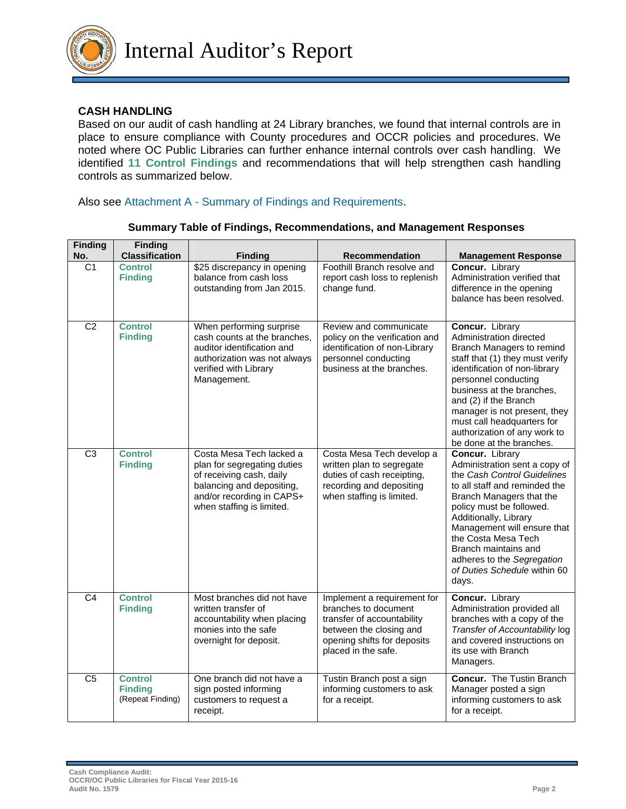

### **CASH HANDLING**

Based on our audit of cash handling at 24 Library branches, we found that internal controls are in place to ensure compliance with County procedures and OCCR policies and procedures. We noted where OC Public Libraries can further enhance internal controls over cash handling. We identified **11 Control Findings** and recommendations that will help strengthen cash handling controls as summarized below.

Also see Attachment A - Summary of Findings and Requirements.

| <b>Finding</b><br>No. | <b>Finding</b><br><b>Classification</b>              | <b>Finding</b>                                                                                                                                                             | <b>Recommendation</b>                                                                                                                                              | <b>Management Response</b>                                                                                                                                                                                                                                                                                                                             |
|-----------------------|------------------------------------------------------|----------------------------------------------------------------------------------------------------------------------------------------------------------------------------|--------------------------------------------------------------------------------------------------------------------------------------------------------------------|--------------------------------------------------------------------------------------------------------------------------------------------------------------------------------------------------------------------------------------------------------------------------------------------------------------------------------------------------------|
| C1                    | <b>Control</b><br><b>Finding</b>                     | \$25 discrepancy in opening<br>balance from cash loss<br>outstanding from Jan 2015.                                                                                        | Foothill Branch resolve and<br>report cash loss to replenish<br>change fund.                                                                                       | Concur. Library<br>Administration verified that<br>difference in the opening<br>balance has been resolved.                                                                                                                                                                                                                                             |
| $\overline{C2}$       | <b>Control</b><br><b>Finding</b>                     | When performing surprise<br>cash counts at the branches,<br>auditor identification and<br>authorization was not always<br>verified with Library<br>Management.             | Review and communicate<br>policy on the verification and<br>identification of non-Library<br>personnel conducting<br>business at the branches.                     | Concur. Library<br>Administration directed<br>Branch Managers to remind<br>staff that (1) they must verify<br>identification of non-library<br>personnel conducting<br>business at the branches,<br>and (2) if the Branch<br>manager is not present, they<br>must call headquarters for<br>authorization of any work to<br>be done at the branches.    |
| $\overline{C3}$       | <b>Control</b><br><b>Finding</b>                     | Costa Mesa Tech lacked a<br>plan for segregating duties<br>of receiving cash, daily<br>balancing and depositing,<br>and/or recording in CAPS+<br>when staffing is limited. | Costa Mesa Tech develop a<br>written plan to segregate<br>duties of cash receipting,<br>recording and depositing<br>when staffing is limited.                      | Concur. Library<br>Administration sent a copy of<br>the Cash Control Guidelines<br>to all staff and reminded the<br>Branch Managers that the<br>policy must be followed.<br>Additionally, Library<br>Management will ensure that<br>the Costa Mesa Tech<br>Branch maintains and<br>adheres to the Segregation<br>of Duties Schedule within 60<br>days. |
| C <sub>4</sub>        | <b>Control</b><br><b>Finding</b>                     | Most branches did not have<br>written transfer of<br>accountability when placing<br>monies into the safe<br>overnight for deposit.                                         | Implement a requirement for<br>branches to document<br>transfer of accountability<br>between the closing and<br>opening shifts for deposits<br>placed in the safe. | <b>Concur.</b> Library<br>Administration provided all<br>branches with a copy of the<br>Transfer of Accountability log<br>and covered instructions on<br>its use with Branch<br>Managers.                                                                                                                                                              |
| $\overline{C5}$       | <b>Control</b><br><b>Finding</b><br>(Repeat Finding) | One branch did not have a<br>sign posted informing<br>customers to request a<br>receipt.                                                                                   | Tustin Branch post a sign<br>informing customers to ask<br>for a receipt.                                                                                          | <b>Concur.</b> The Tustin Branch<br>Manager posted a sign<br>informing customers to ask<br>for a receipt.                                                                                                                                                                                                                                              |

#### **Summary Table of Findings, Recommendations, and Management Responses**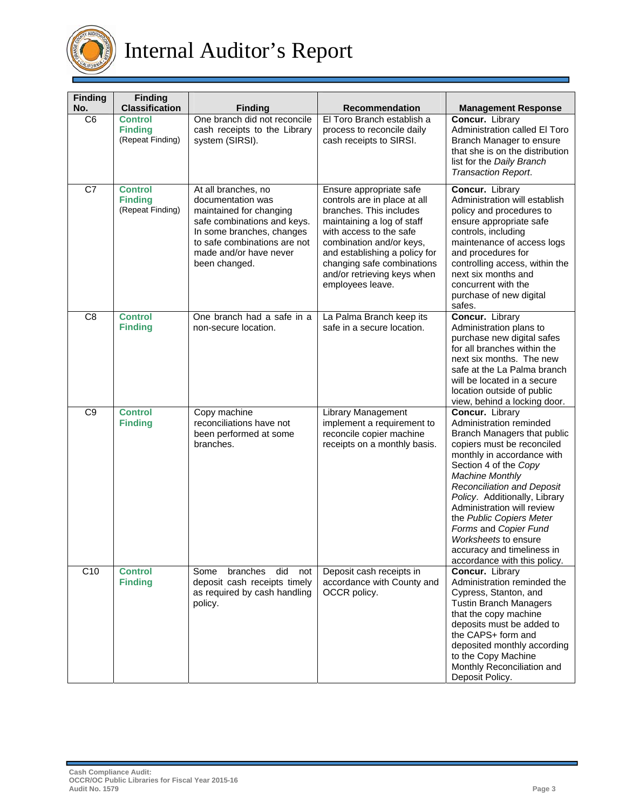

# Internal Auditor's Report

| <b>Finding</b><br>No. | <b>Finding</b><br><b>Classification</b>              | <b>Finding</b>                                                                                                                                                                                             | Recommendation                                                                                                                                                                                                                                                                            | <b>Management Response</b>                                                                                                                                                                                                                                                                                                                                                                                                              |
|-----------------------|------------------------------------------------------|------------------------------------------------------------------------------------------------------------------------------------------------------------------------------------------------------------|-------------------------------------------------------------------------------------------------------------------------------------------------------------------------------------------------------------------------------------------------------------------------------------------|-----------------------------------------------------------------------------------------------------------------------------------------------------------------------------------------------------------------------------------------------------------------------------------------------------------------------------------------------------------------------------------------------------------------------------------------|
| C <sub>6</sub>        | <b>Control</b><br><b>Finding</b><br>(Repeat Finding) | One branch did not reconcile<br>cash receipts to the Library<br>system (SIRSI).                                                                                                                            | El Toro Branch establish a<br>process to reconcile daily<br>cash receipts to SIRSI.                                                                                                                                                                                                       | Concur. Library<br>Administration called El Toro<br>Branch Manager to ensure<br>that she is on the distribution<br>list for the Daily Branch<br>Transaction Report.                                                                                                                                                                                                                                                                     |
| C7                    | <b>Control</b><br><b>Finding</b><br>(Repeat Finding) | At all branches, no<br>documentation was<br>maintained for changing<br>safe combinations and keys.<br>In some branches, changes<br>to safe combinations are not<br>made and/or have never<br>been changed. | Ensure appropriate safe<br>controls are in place at all<br>branches. This includes<br>maintaining a log of staff<br>with access to the safe<br>combination and/or keys,<br>and establishing a policy for<br>changing safe combinations<br>and/or retrieving keys when<br>employees leave. | Concur. Library<br>Administration will establish<br>policy and procedures to<br>ensure appropriate safe<br>controls, including<br>maintenance of access logs<br>and procedures for<br>controlling access, within the<br>next six months and<br>concurrent with the<br>purchase of new digital<br>safes.                                                                                                                                 |
| C <sub>8</sub>        | <b>Control</b><br><b>Finding</b>                     | One branch had a safe in a<br>non-secure location.                                                                                                                                                         | La Palma Branch keep its<br>safe in a secure location.                                                                                                                                                                                                                                    | Concur. Library<br>Administration plans to<br>purchase new digital safes<br>for all branches within the<br>next six months. The new<br>safe at the La Palma branch<br>will be located in a secure<br>location outside of public<br>view, behind a locking door.                                                                                                                                                                         |
| C <sub>9</sub>        | <b>Control</b><br><b>Finding</b>                     | Copy machine<br>reconciliations have not<br>been performed at some<br>branches.                                                                                                                            | <b>Library Management</b><br>implement a requirement to<br>reconcile copier machine<br>receipts on a monthly basis.                                                                                                                                                                       | Concur. Library<br>Administration reminded<br>Branch Managers that public<br>copiers must be reconciled<br>monthly in accordance with<br>Section 4 of the Copy<br><b>Machine Monthly</b><br><b>Reconciliation and Deposit</b><br>Policy. Additionally, Library<br>Administration will review<br>the Public Copiers Meter<br>Forms and Copier Fund<br>Worksheets to ensure<br>accuracy and timeliness in<br>accordance with this policy. |
| C10                   | <b>Control</b><br><b>Finding</b>                     | branches<br>did<br>Some<br>not<br>deposit cash receipts timely<br>as required by cash handling<br>policy.                                                                                                  | Deposit cash receipts in<br>accordance with County and<br>OCCR policy.                                                                                                                                                                                                                    | Concur. Library<br>Administration reminded the<br>Cypress, Stanton, and<br><b>Tustin Branch Managers</b><br>that the copy machine<br>deposits must be added to<br>the CAPS+ form and<br>deposited monthly according<br>to the Copy Machine<br>Monthly Reconciliation and<br>Deposit Policy.                                                                                                                                             |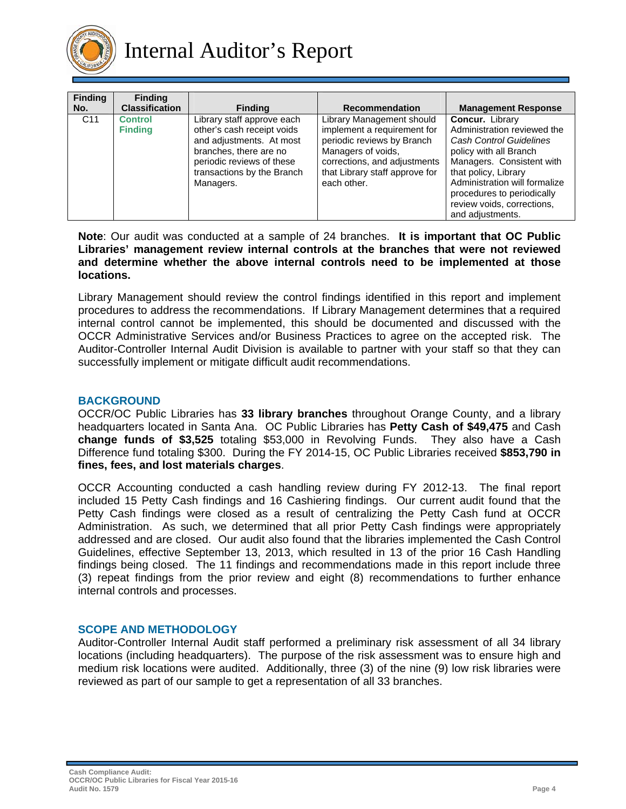

| <b>Finding</b><br>No. | <b>Finding</b><br><b>Classification</b> | <b>Finding</b>                                                                                                                                                                         | <b>Recommendation</b>                                                                                                                                                                         | <b>Management Response</b>                                                                                                                                                                                                                                                |
|-----------------------|-----------------------------------------|----------------------------------------------------------------------------------------------------------------------------------------------------------------------------------------|-----------------------------------------------------------------------------------------------------------------------------------------------------------------------------------------------|---------------------------------------------------------------------------------------------------------------------------------------------------------------------------------------------------------------------------------------------------------------------------|
| C <sub>11</sub>       | <b>Control</b><br><b>Finding</b>        | Library staff approve each<br>other's cash receipt voids<br>and adjustments. At most<br>branches, there are no<br>periodic reviews of these<br>transactions by the Branch<br>Managers. | Library Management should<br>implement a requirement for<br>periodic reviews by Branch<br>Managers of voids,<br>corrections, and adjustments<br>that Library staff approve for<br>each other. | Concur. Library<br>Administration reviewed the<br>Cash Control Guidelines<br>policy with all Branch<br>Managers. Consistent with<br>that policy, Library<br>Administration will formalize<br>procedures to periodically<br>review voids, corrections,<br>and adjustments. |

**Note**: Our audit was conducted at a sample of 24 branches. **It is important that OC Public Libraries' management review internal controls at the branches that were not reviewed and determine whether the above internal controls need to be implemented at those locations.**

Library Management should review the control findings identified in this report and implement procedures to address the recommendations. If Library Management determines that a required internal control cannot be implemented, this should be documented and discussed with the OCCR Administrative Services and/or Business Practices to agree on the accepted risk. The Auditor-Controller Internal Audit Division is available to partner with your staff so that they can successfully implement or mitigate difficult audit recommendations.

#### **BACKGROUND**

OCCR/OC Public Libraries has **33 library branches** throughout Orange County, and a library headquarters located in Santa Ana. OC Public Libraries has **Petty Cash of \$49,475** and Cash **change funds of \$3,525** totaling \$53,000 in Revolving Funds. They also have a Cash Difference fund totaling \$300. During the FY 2014-15, OC Public Libraries received **\$853,790 in fines, fees, and lost materials charges**.

OCCR Accounting conducted a cash handling review during FY 2012-13. The final report included 15 Petty Cash findings and 16 Cashiering findings. Our current audit found that the Petty Cash findings were closed as a result of centralizing the Petty Cash fund at OCCR Administration. As such, we determined that all prior Petty Cash findings were appropriately addressed and are closed. Our audit also found that the libraries implemented the Cash Control Guidelines, effective September 13, 2013, which resulted in 13 of the prior 16 Cash Handling findings being closed. The 11 findings and recommendations made in this report include three (3) repeat findings from the prior review and eight (8) recommendations to further enhance internal controls and processes.

#### **SCOPE AND METHODOLOGY**

Auditor-Controller Internal Audit staff performed a preliminary risk assessment of all 34 library locations (including headquarters). The purpose of the risk assessment was to ensure high and medium risk locations were audited. Additionally, three (3) of the nine (9) low risk libraries were reviewed as part of our sample to get a representation of all 33 branches.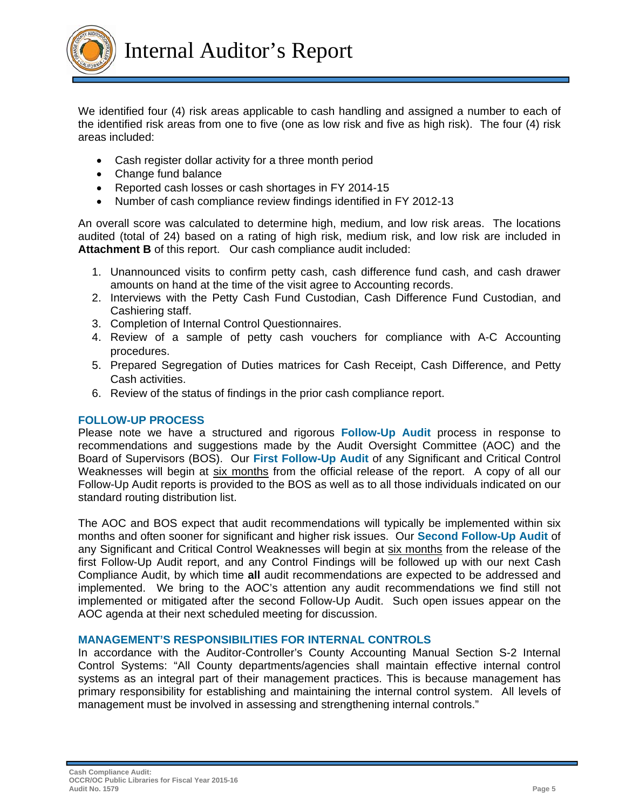

We identified four (4) risk areas applicable to cash handling and assigned a number to each of the identified risk areas from one to five (one as low risk and five as high risk). The four (4) risk areas included:

- Cash register dollar activity for a three month period
- Change fund balance
- Reported cash losses or cash shortages in FY 2014-15
- Number of cash compliance review findings identified in FY 2012-13

An overall score was calculated to determine high, medium, and low risk areas. The locations audited (total of 24) based on a rating of high risk, medium risk, and low risk are included in **Attachment B** of this report. Our cash compliance audit included:

- 1. Unannounced visits to confirm petty cash, cash difference fund cash, and cash drawer amounts on hand at the time of the visit agree to Accounting records.
- 2. Interviews with the Petty Cash Fund Custodian, Cash Difference Fund Custodian, and Cashiering staff.
- 3. Completion of Internal Control Questionnaires.
- 4. Review of a sample of petty cash vouchers for compliance with A-C Accounting procedures.
- 5. Prepared Segregation of Duties matrices for Cash Receipt, Cash Difference, and Petty Cash activities.
- 6. Review of the status of findings in the prior cash compliance report.

#### **FOLLOW-UP PROCESS**

Please note we have a structured and rigorous **Follow-Up Audit** process in response to recommendations and suggestions made by the Audit Oversight Committee (AOC) and the Board of Supervisors (BOS). Our **First Follow-Up Audit** of any Significant and Critical Control Weaknesses will begin at six months from the official release of the report. A copy of all our Follow-Up Audit reports is provided to the BOS as well as to all those individuals indicated on our standard routing distribution list.

The AOC and BOS expect that audit recommendations will typically be implemented within six months and often sooner for significant and higher risk issues. Our **Second Follow-Up Audit** of any Significant and Critical Control Weaknesses will begin at six months from the release of the first Follow-Up Audit report, and any Control Findings will be followed up with our next Cash Compliance Audit, by which time **all** audit recommendations are expected to be addressed and implemented. We bring to the AOC's attention any audit recommendations we find still not implemented or mitigated after the second Follow-Up Audit. Such open issues appear on the AOC agenda at their next scheduled meeting for discussion.

#### **MANAGEMENT'S RESPONSIBILITIES FOR INTERNAL CONTROLS**

In accordance with the Auditor-Controller's County Accounting Manual Section S-2 Internal Control Systems: "All County departments/agencies shall maintain effective internal control systems as an integral part of their management practices. This is because management has primary responsibility for establishing and maintaining the internal control system. All levels of management must be involved in assessing and strengthening internal controls."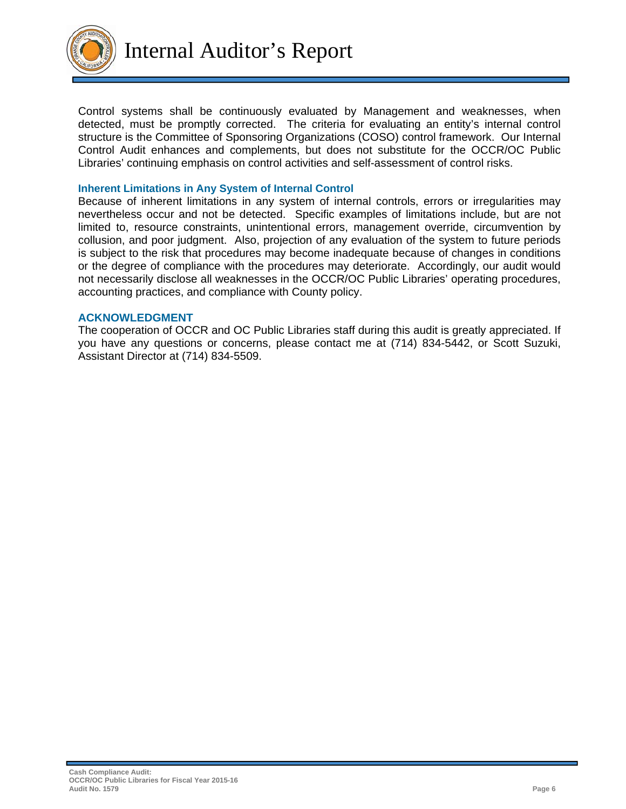

Control systems shall be continuously evaluated by Management and weaknesses, when detected, must be promptly corrected. The criteria for evaluating an entity's internal control structure is the Committee of Sponsoring Organizations (COSO) control framework. Our Internal Control Audit enhances and complements, but does not substitute for the OCCR/OC Public Libraries' continuing emphasis on control activities and self-assessment of control risks.

#### **Inherent Limitations in Any System of Internal Control**

Because of inherent limitations in any system of internal controls, errors or irregularities may nevertheless occur and not be detected. Specific examples of limitations include, but are not limited to, resource constraints, unintentional errors, management override, circumvention by collusion, and poor judgment. Also, projection of any evaluation of the system to future periods is subject to the risk that procedures may become inadequate because of changes in conditions or the degree of compliance with the procedures may deteriorate. Accordingly, our audit would not necessarily disclose all weaknesses in the OCCR/OC Public Libraries' operating procedures, accounting practices, and compliance with County policy.

#### **ACKNOWLEDGMENT**

The cooperation of OCCR and OC Public Libraries staff during this audit is greatly appreciated. If you have any questions or concerns, please contact me at (714) 834-5442, or Scott Suzuki, Assistant Director at (714) 834-5509.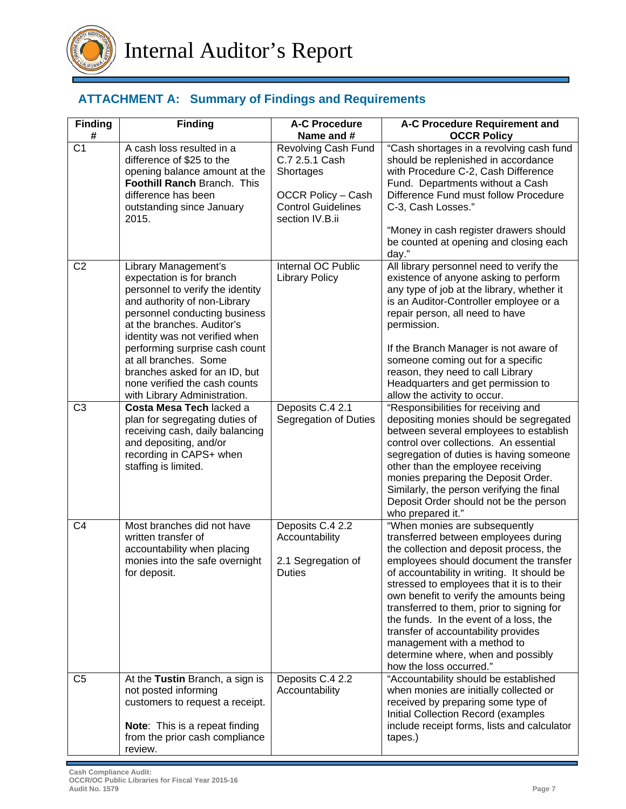

# **ATTACHMENT A: Summary of Findings and Requirements**

| <b>Finding</b><br># | <b>Finding</b>                                                                                                                                                                                                                                                                                                                                                                      | <b>A-C Procedure</b><br>Name and #                                                                                              | A-C Procedure Requirement and<br><b>OCCR Policy</b>                                                                                                                                                                                                                                                                                                                                                                                                                                                                            |
|---------------------|-------------------------------------------------------------------------------------------------------------------------------------------------------------------------------------------------------------------------------------------------------------------------------------------------------------------------------------------------------------------------------------|---------------------------------------------------------------------------------------------------------------------------------|--------------------------------------------------------------------------------------------------------------------------------------------------------------------------------------------------------------------------------------------------------------------------------------------------------------------------------------------------------------------------------------------------------------------------------------------------------------------------------------------------------------------------------|
| C <sub>1</sub>      | A cash loss resulted in a<br>difference of \$25 to the<br>opening balance amount at the<br>Foothill Ranch Branch. This<br>difference has been<br>outstanding since January<br>2015.                                                                                                                                                                                                 | Revolving Cash Fund<br>C.7 2.5.1 Cash<br>Shortages<br><b>OCCR Policy - Cash</b><br><b>Control Guidelines</b><br>section IV.B.ii | "Cash shortages in a revolving cash fund<br>should be replenished in accordance<br>with Procedure C-2, Cash Difference<br>Fund. Departments without a Cash<br>Difference Fund must follow Procedure<br>C-3, Cash Losses."<br>"Money in cash register drawers should<br>be counted at opening and closing each<br>day."                                                                                                                                                                                                         |
| C <sub>2</sub>      | Library Management's<br>expectation is for branch<br>personnel to verify the identity<br>and authority of non-Library<br>personnel conducting business<br>at the branches. Auditor's<br>identity was not verified when<br>performing surprise cash count<br>at all branches. Some<br>branches asked for an ID, but<br>none verified the cash counts<br>with Library Administration. | Internal OC Public<br><b>Library Policy</b>                                                                                     | All library personnel need to verify the<br>existence of anyone asking to perform<br>any type of job at the library, whether it<br>is an Auditor-Controller employee or a<br>repair person, all need to have<br>permission.<br>If the Branch Manager is not aware of<br>someone coming out for a specific<br>reason, they need to call Library<br>Headquarters and get permission to<br>allow the activity to occur.                                                                                                           |
| C <sub>3</sub>      | Costa Mesa Tech lacked a<br>plan for segregating duties of<br>receiving cash, daily balancing<br>and depositing, and/or<br>recording in CAPS+ when<br>staffing is limited.                                                                                                                                                                                                          | Deposits C.4 2.1<br>Segregation of Duties                                                                                       | "Responsibilities for receiving and<br>depositing monies should be segregated<br>between several employees to establish<br>control over collections. An essential<br>segregation of duties is having someone<br>other than the employee receiving<br>monies preparing the Deposit Order.<br>Similarly, the person verifying the final<br>Deposit Order should not be the person<br>who prepared it."                                                                                                                           |
| C <sub>4</sub>      | Most branches did not have<br>written transfer of<br>accountability when placing<br>monies into the safe overnight<br>for deposit.                                                                                                                                                                                                                                                  | Deposits C.4 2.2<br>Accountability<br>2.1 Segregation of<br>Duties                                                              | "When monies are subsequently<br>transferred between employees during<br>the collection and deposit process, the<br>employees should document the transfer<br>of accountability in writing. It should be<br>stressed to employees that it is to their<br>own benefit to verify the amounts being<br>transferred to them, prior to signing for<br>the funds. In the event of a loss, the<br>transfer of accountability provides<br>management with a method to<br>determine where, when and possibly<br>how the loss occurred." |
| C <sub>5</sub>      | At the Tustin Branch, a sign is<br>not posted informing<br>customers to request a receipt.<br><b>Note:</b> This is a repeat finding<br>from the prior cash compliance<br>review.                                                                                                                                                                                                    | Deposits C.4 2.2<br>Accountability                                                                                              | "Accountability should be established<br>when monies are initially collected or<br>received by preparing some type of<br>Initial Collection Record (examples<br>include receipt forms, lists and calculator<br>tapes.)                                                                                                                                                                                                                                                                                                         |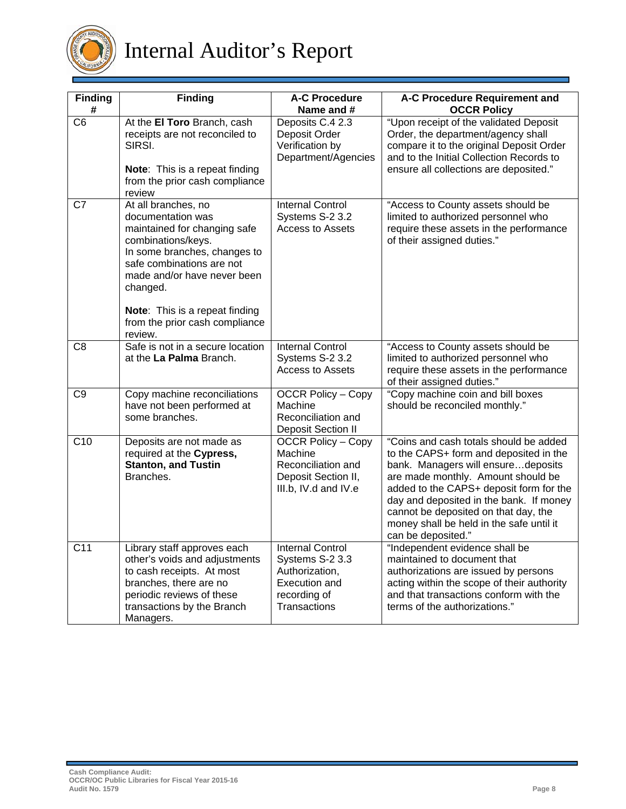

# Internal Auditor's Report

| <b>Finding</b>  | <b>Finding</b>                                                                                                                                                                                         | <b>A-C Procedure</b><br>Name and #                                                                            | A-C Procedure Requirement and<br><b>OCCR Policy</b>                                                                                                                                                                                                                                                                                                          |  |  |  |  |
|-----------------|--------------------------------------------------------------------------------------------------------------------------------------------------------------------------------------------------------|---------------------------------------------------------------------------------------------------------------|--------------------------------------------------------------------------------------------------------------------------------------------------------------------------------------------------------------------------------------------------------------------------------------------------------------------------------------------------------------|--|--|--|--|
| C <sub>6</sub>  | At the El Toro Branch, cash<br>receipts are not reconciled to<br>SIRSI.<br>Note: This is a repeat finding                                                                                              | Deposits C.4 2.3<br>Deposit Order<br>Verification by<br>Department/Agencies                                   | "Upon receipt of the validated Deposit<br>Order, the department/agency shall<br>compare it to the original Deposit Order<br>and to the Initial Collection Records to<br>ensure all collections are deposited."                                                                                                                                               |  |  |  |  |
|                 | from the prior cash compliance<br>review                                                                                                                                                               |                                                                                                               |                                                                                                                                                                                                                                                                                                                                                              |  |  |  |  |
| C7              | At all branches, no<br>documentation was<br>maintained for changing safe<br>combinations/keys.<br>In some branches, changes to<br>safe combinations are not<br>made and/or have never been<br>changed. | <b>Internal Control</b><br>Systems S-2 3.2<br><b>Access to Assets</b>                                         | "Access to County assets should be<br>limited to authorized personnel who<br>require these assets in the performance<br>of their assigned duties."                                                                                                                                                                                                           |  |  |  |  |
|                 | Note: This is a repeat finding<br>from the prior cash compliance<br>review.                                                                                                                            |                                                                                                               |                                                                                                                                                                                                                                                                                                                                                              |  |  |  |  |
| C <sub>8</sub>  | Safe is not in a secure location<br>at the La Palma Branch.                                                                                                                                            | <b>Internal Control</b><br>Systems S-2 3.2<br><b>Access to Assets</b>                                         | "Access to County assets should be<br>limited to authorized personnel who<br>require these assets in the performance<br>of their assigned duties."                                                                                                                                                                                                           |  |  |  |  |
| C <sub>9</sub>  | Copy machine reconciliations<br>have not been performed at<br>some branches.                                                                                                                           | <b>OCCR Policy - Copy</b><br>Machine<br>Reconciliation and<br><b>Deposit Section II</b>                       | "Copy machine coin and bill boxes<br>should be reconciled monthly."                                                                                                                                                                                                                                                                                          |  |  |  |  |
| C10             | Deposits are not made as<br>required at the Cypress,<br><b>Stanton, and Tustin</b><br>Branches.                                                                                                        | <b>OCCR Policy - Copy</b><br>Machine<br>Reconciliation and<br>Deposit Section II,<br>III.b, IV.d and IV.e     | "Coins and cash totals should be added<br>to the CAPS+ form and deposited in the<br>bank. Managers will ensuredeposits<br>are made monthly. Amount should be<br>added to the CAPS+ deposit form for the<br>day and deposited in the bank. If money<br>cannot be deposited on that day, the<br>money shall be held in the safe until it<br>can be deposited." |  |  |  |  |
| C <sub>11</sub> | Library staff approves each<br>other's voids and adjustments<br>to cash receipts. At most<br>branches, there are no<br>periodic reviews of these<br>transactions by the Branch<br>Managers.            | <b>Internal Control</b><br>Systems S-2 3.3<br>Authorization,<br>Execution and<br>recording of<br>Transactions | "Independent evidence shall be<br>maintained to document that<br>authorizations are issued by persons<br>acting within the scope of their authority<br>and that transactions conform with the<br>terms of the authorizations."                                                                                                                               |  |  |  |  |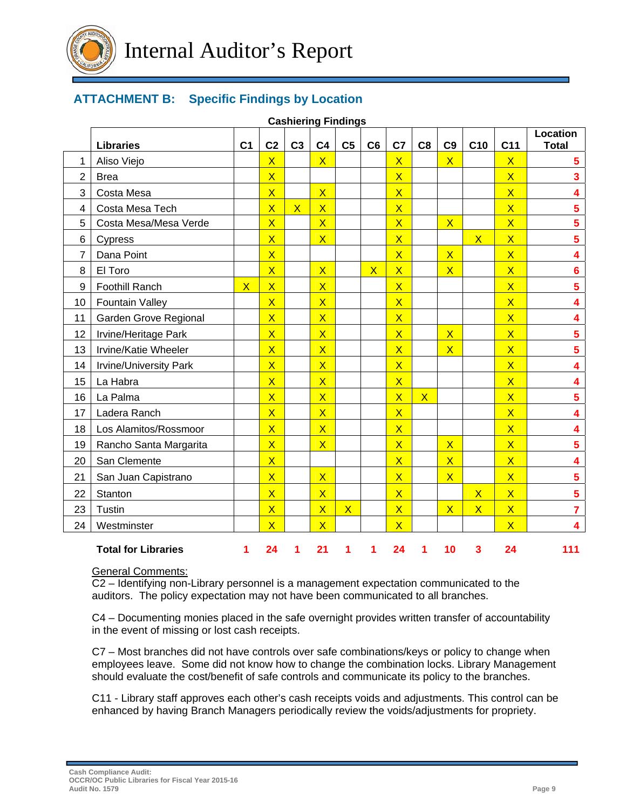

# **ATTACHMENT B: Specific Findings by Location**

|                | <b>Cashiering Findings</b> |                         |                         |                |                         |                         |                         |                         |                |                         |                         |                         |                                 |
|----------------|----------------------------|-------------------------|-------------------------|----------------|-------------------------|-------------------------|-------------------------|-------------------------|----------------|-------------------------|-------------------------|-------------------------|---------------------------------|
|                | <b>Libraries</b>           | C <sub>1</sub>          | C <sub>2</sub>          | C <sub>3</sub> | C <sub>4</sub>          | C <sub>5</sub>          | C <sub>6</sub>          | C <sub>7</sub>          | C <sub>8</sub> | C <sub>9</sub>          | C <sub>10</sub>         | C <sub>11</sub>         | <b>Location</b><br><b>Total</b> |
| 1              | Aliso Viejo                |                         | $\overline{\mathsf{X}}$ |                | $\overline{\mathsf{X}}$ |                         |                         | $\overline{\mathsf{X}}$ |                | $\mathsf{X}$            |                         | $\mathsf{X}$            | 5                               |
| $\overline{2}$ | <b>Brea</b>                |                         | $\overline{\mathsf{X}}$ |                |                         |                         |                         | $\overline{\mathsf{X}}$ |                |                         |                         | $\overline{\mathsf{X}}$ | $\overline{\mathbf{3}}$         |
| 3              | Costa Mesa                 |                         | $\overline{\mathsf{X}}$ |                | $\overline{\mathsf{X}}$ |                         |                         | $\overline{\mathsf{X}}$ |                |                         |                         | $\overline{\mathsf{X}}$ | 4                               |
| 4              | Costa Mesa Tech            |                         | $\overline{\mathsf{X}}$ | $\mathsf{X}$   | $\overline{\mathsf{X}}$ |                         |                         | $\overline{\mathsf{X}}$ |                |                         |                         | $\overline{\mathsf{X}}$ | 5                               |
| 5              | Costa Mesa/Mesa Verde      |                         | $\overline{\mathsf{X}}$ |                | $\overline{\mathsf{X}}$ |                         |                         | $\overline{\mathsf{x}}$ |                | $\overline{\mathsf{X}}$ |                         | $\overline{\mathsf{x}}$ | $\overline{\mathbf{5}}$         |
| 6              | Cypress                    |                         | $\overline{\mathsf{X}}$ |                | $\overline{\mathsf{X}}$ |                         |                         | $\overline{\mathsf{X}}$ |                |                         | $\overline{\mathsf{X}}$ | $\overline{\mathsf{X}}$ | 5                               |
| $\overline{7}$ | Dana Point                 |                         | $\overline{\mathsf{X}}$ |                |                         |                         |                         | $\overline{\mathsf{X}}$ |                | $\overline{\mathsf{X}}$ |                         | $\overline{\mathsf{X}}$ | 4                               |
| 8              | El Toro                    |                         | $\overline{\mathsf{X}}$ |                | $\overline{\mathsf{X}}$ |                         | $\overline{\mathsf{X}}$ | $\overline{\mathsf{X}}$ |                | $\overline{\mathsf{X}}$ |                         | $\overline{\mathsf{X}}$ | $6\phantom{a}$                  |
| 9              | <b>Foothill Ranch</b>      | $\overline{\mathsf{X}}$ | $\overline{\mathsf{X}}$ |                | $\overline{\mathsf{X}}$ |                         |                         | $\overline{\mathsf{X}}$ |                |                         |                         | $\overline{\mathsf{X}}$ | 5                               |
| 10             | <b>Fountain Valley</b>     |                         | $\overline{\mathsf{X}}$ |                | $\overline{\mathsf{X}}$ |                         |                         | $\overline{\mathsf{X}}$ |                |                         |                         | $\overline{\mathsf{X}}$ | 4                               |
| 11             | Garden Grove Regional      |                         | $\overline{\mathsf{X}}$ |                | $\overline{\mathsf{X}}$ |                         |                         | $\overline{\mathsf{X}}$ |                |                         |                         | $\overline{\mathsf{X}}$ | 4                               |
| 12             | Irvine/Heritage Park       |                         | $\overline{\mathsf{X}}$ |                | $\overline{\mathsf{X}}$ |                         |                         | $\overline{\mathsf{X}}$ |                | $\overline{\mathsf{X}}$ |                         | $\overline{\mathsf{X}}$ | 5                               |
| 13             | Irvine/Katie Wheeler       |                         | $\overline{\mathsf{X}}$ |                | $\overline{\mathsf{X}}$ |                         |                         | $\overline{\mathsf{X}}$ |                | $\overline{X}$          |                         | $\overline{\mathsf{X}}$ | 5                               |
| 14             | Irvine/University Park     |                         | $\overline{\mathsf{X}}$ |                | $\overline{\mathsf{X}}$ |                         |                         | $\overline{\mathsf{X}}$ |                |                         |                         | $\overline{\mathsf{X}}$ | 4                               |
| 15             | La Habra                   |                         | $\overline{\mathsf{X}}$ |                | $\overline{\mathsf{X}}$ |                         |                         | $\overline{\mathsf{X}}$ |                |                         |                         | $\overline{\mathsf{X}}$ | 4                               |
| 16             | La Palma                   |                         | $\overline{\mathsf{X}}$ |                | $\overline{\mathsf{X}}$ |                         |                         | $\overline{\mathsf{X}}$ | $\mathsf{X}$   |                         |                         | $\overline{\mathsf{X}}$ | $\overline{\mathbf{5}}$         |
| 17             | Ladera Ranch               |                         | $\overline{\mathsf{X}}$ |                | $\overline{\mathsf{X}}$ |                         |                         | $\overline{\mathsf{X}}$ |                |                         |                         | $\overline{\mathsf{X}}$ | 4                               |
| 18             | Los Alamitos/Rossmoor      |                         | $\overline{\mathsf{X}}$ |                | $\overline{\mathsf{X}}$ |                         |                         | $\overline{\mathsf{X}}$ |                |                         |                         | $\overline{\mathsf{X}}$ | 4                               |
| 19             | Rancho Santa Margarita     |                         | $\overline{\mathsf{X}}$ |                | $\overline{\mathsf{X}}$ |                         |                         | $\overline{\mathsf{X}}$ |                | $\overline{\mathsf{X}}$ |                         | $\overline{\mathsf{X}}$ | $\overline{\mathbf{5}}$         |
| 20             | San Clemente               |                         | $\overline{\mathsf{X}}$ |                |                         |                         |                         | $\overline{\mathsf{X}}$ |                | $\overline{\mathsf{X}}$ |                         | $\overline{\mathsf{X}}$ | 4                               |
| 21             | San Juan Capistrano        |                         | $\overline{X}$          |                | $\overline{\mathsf{x}}$ |                         |                         | $\overline{\mathsf{X}}$ |                | $\overline{\mathsf{X}}$ |                         | $\overline{X}$          | $\overline{\mathbf{5}}$         |
| 22             | Stanton                    |                         | $\overline{\mathsf{X}}$ |                | $\overline{\mathsf{X}}$ |                         |                         | $\overline{\mathsf{X}}$ |                |                         | $\overline{\mathsf{X}}$ | $\overline{\mathsf{X}}$ | $5\phantom{a}$                  |
| 23             | <b>Tustin</b>              |                         | $\overline{\mathsf{X}}$ |                | $\overline{\mathsf{X}}$ | $\overline{\mathsf{X}}$ |                         | $\overline{\mathsf{X}}$ |                | $\overline{\mathsf{X}}$ | $\overline{\mathsf{X}}$ | $\overline{\mathsf{X}}$ | $\overline{7}$                  |
| 24             | Westminster                |                         | $\overline{\mathsf{X}}$ |                | $\overline{\mathsf{X}}$ |                         |                         | $\overline{\mathsf{X}}$ |                |                         |                         | $\overline{\mathsf{X}}$ | 4                               |
|                |                            |                         |                         |                |                         |                         |                         |                         |                |                         |                         |                         |                                 |
|                | <b>Total for Libraries</b> | 1                       | 24                      | 1              | 21                      | 1                       | 1                       | 24                      | 1              | 10                      | 3                       | 24                      | 111                             |

# General Comments:

C2 – Identifying non-Library personnel is a management expectation communicated to the auditors. The policy expectation may not have been communicated to all branches.

C4 – Documenting monies placed in the safe overnight provides written transfer of accountability in the event of missing or lost cash receipts.

C7 – Most branches did not have controls over safe combinations/keys or policy to change when employees leave. Some did not know how to change the combination locks. Library Management should evaluate the cost/benefit of safe controls and communicate its policy to the branches.

C11 - Library staff approves each other's cash receipts voids and adjustments. This control can be enhanced by having Branch Managers periodically review the voids/adjustments for propriety.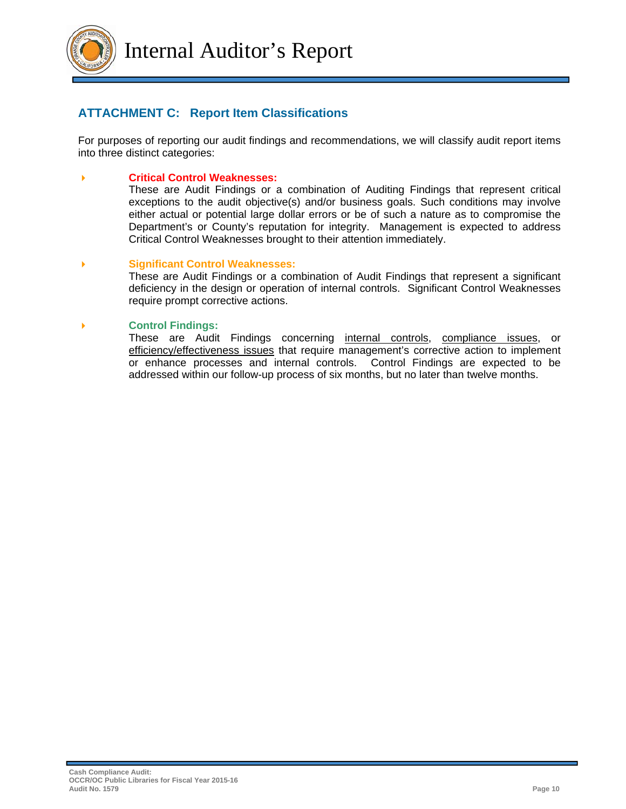

# **ATTACHMENT C: Report Item Classifications**

For purposes of reporting our audit findings and recommendations, we will classify audit report items into three distinct categories:

#### **Critical Control Weaknesses:**

These are Audit Findings or a combination of Auditing Findings that represent critical exceptions to the audit objective(s) and/or business goals. Such conditions may involve either actual or potential large dollar errors or be of such a nature as to compromise the Department's or County's reputation for integrity. Management is expected to address Critical Control Weaknesses brought to their attention immediately.

#### **Significant Control Weaknesses:**

These are Audit Findings or a combination of Audit Findings that represent a significant deficiency in the design or operation of internal controls. Significant Control Weaknesses require prompt corrective actions.

#### **Control Findings:**

These are Audit Findings concerning internal controls, compliance issues, or efficiency/effectiveness issues that require management's corrective action to implement or enhance processes and internal controls. Control Findings are expected to be addressed within our follow-up process of six months, but no later than twelve months.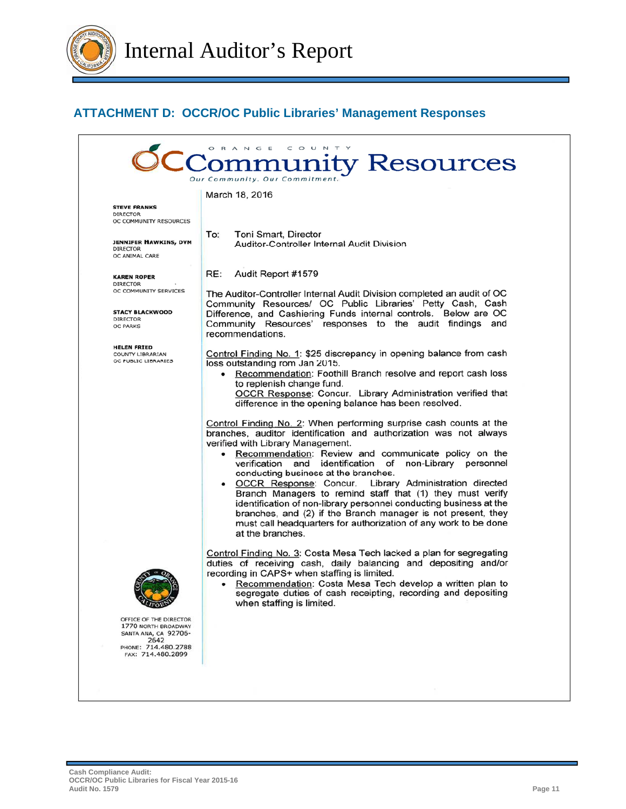

# **ATTACHMENT D: OCCR/OC Public Libraries' Management Responses**

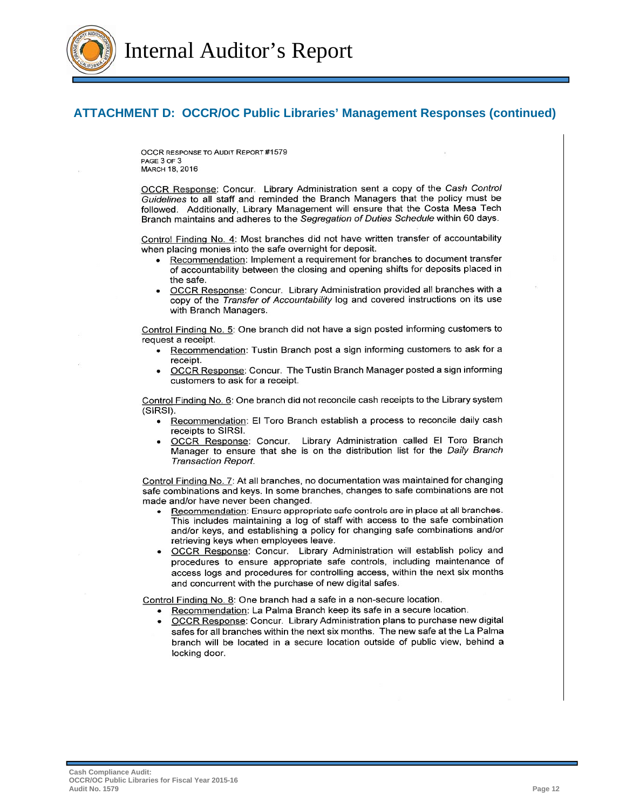

Internal Auditor's Report

## **ATTACHMENT D: OCCR/OC Public Libraries' Management Responses (continued)**

OCCR RESPONSE TO AUDIT REPORT #1579 PAGE 3 OF 3 MARCH 18, 2016

OCCR Response: Concur. Library Administration sent a copy of the Cash Control Guidelines to all staff and reminded the Branch Managers that the policy must be followed. Additionally, Library Management will ensure that the Costa Mesa Tech Branch maintains and adheres to the Segregation of Duties Schedule within 60 days.

Control Finding No. 4: Most branches did not have written transfer of accountability when placing monies into the safe overnight for deposit.

- Recommendation: Implement a requirement for branches to document transfer  $\bullet$ of accountability between the closing and opening shifts for deposits placed in the safe.
- OCCR Response: Concur. Library Administration provided all branches with a copy of the Transfer of Accountability log and covered instructions on its use with Branch Managers.

Control Finding No. 5: One branch did not have a sign posted informing customers to request a receipt.

- Recommendation: Tustin Branch post a sign informing customers to ask for a receipt.
- OCCR Response: Concur. The Tustin Branch Manager posted a sign informing customers to ask for a receipt.

Control Finding No. 6: One branch did not reconcile cash receipts to the Library system (SIRSI).

- Recommendation: El Toro Branch establish a process to reconcile daily cash  $\bullet$ receipts to SIRSI.
- OCCR Response: Concur. Library Administration called El Toro Branch Manager to ensure that she is on the distribution list for the Daily Branch **Transaction Report.**

Control Finding No. 7: At all branches, no documentation was maintained for changing safe combinations and keys. In some branches, changes to safe combinations are not made and/or have never been changed.

- Recommendation: Ensure appropriate safe controls are in place at all branches. This includes maintaining a log of staff with access to the safe combination and/or keys, and establishing a policy for changing safe combinations and/or retrieving keys when employees leave.
- OCCR Response: Concur. Library Administration will establish policy and procedures to ensure appropriate safe controls, including maintenance of access logs and procedures for controlling access, within the next six months and concurrent with the purchase of new digital safes.

Control Finding No. 8: One branch had a safe in a non-secure location.

- Recommendation: La Palma Branch keep its safe in a secure location.
- OCCR Response: Concur. Library Administration plans to purchase new digital safes for all branches within the next six months. The new safe at the La Palma branch will be located in a secure location outside of public view, behind a locking door.